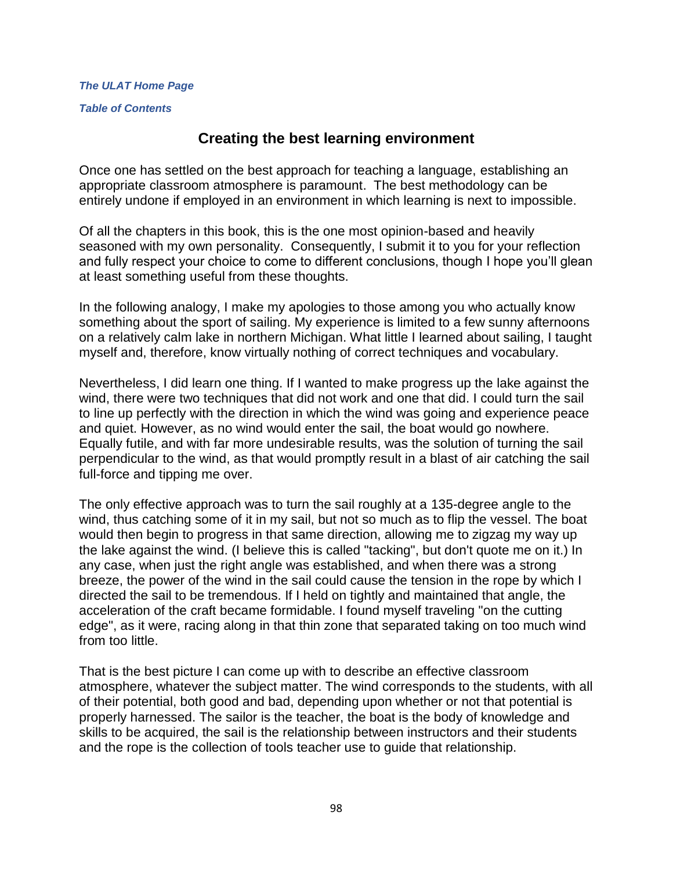*[The ULAT Home Page](http://www.theulat.com/)*

*[Table of Contents](http://www.theulat.com/INOTHERWORDS/CONTENTS.PDF)*

# **Creating the best learning environment**

Once one has settled on the best approach for teaching a language, establishing an appropriate classroom atmosphere is paramount. The best methodology can be entirely undone if employed in an environment in which learning is next to impossible.

Of all the chapters in this book, this is the one most opinion-based and heavily seasoned with my own personality. Consequently, I submit it to you for your reflection and fully respect your choice to come to different conclusions, though I hope you'll glean at least something useful from these thoughts.

In the following analogy, I make my apologies to those among you who actually know something about the sport of sailing. My experience is limited to a few sunny afternoons on a relatively calm lake in northern Michigan. What little I learned about sailing, I taught myself and, therefore, know virtually nothing of correct techniques and vocabulary.

Nevertheless, I did learn one thing. If I wanted to make progress up the lake against the wind, there were two techniques that did not work and one that did. I could turn the sail to line up perfectly with the direction in which the wind was going and experience peace and quiet. However, as no wind would enter the sail, the boat would go nowhere. Equally futile, and with far more undesirable results, was the solution of turning the sail perpendicular to the wind, as that would promptly result in a blast of air catching the sail full-force and tipping me over.

The only effective approach was to turn the sail roughly at a 135-degree angle to the wind, thus catching some of it in my sail, but not so much as to flip the vessel. The boat would then begin to progress in that same direction, allowing me to zigzag my way up the lake against the wind. (I believe this is called "tacking", but don't quote me on it.) In any case, when just the right angle was established, and when there was a strong breeze, the power of the wind in the sail could cause the tension in the rope by which I directed the sail to be tremendous. If I held on tightly and maintained that angle, the acceleration of the craft became formidable. I found myself traveling "on the cutting edge", as it were, racing along in that thin zone that separated taking on too much wind from too little.

That is the best picture I can come up with to describe an effective classroom atmosphere, whatever the subject matter. The wind corresponds to the students, with all of their potential, both good and bad, depending upon whether or not that potential is properly harnessed. The sailor is the teacher, the boat is the body of knowledge and skills to be acquired, the sail is the relationship between instructors and their students and the rope is the collection of tools teacher use to guide that relationship.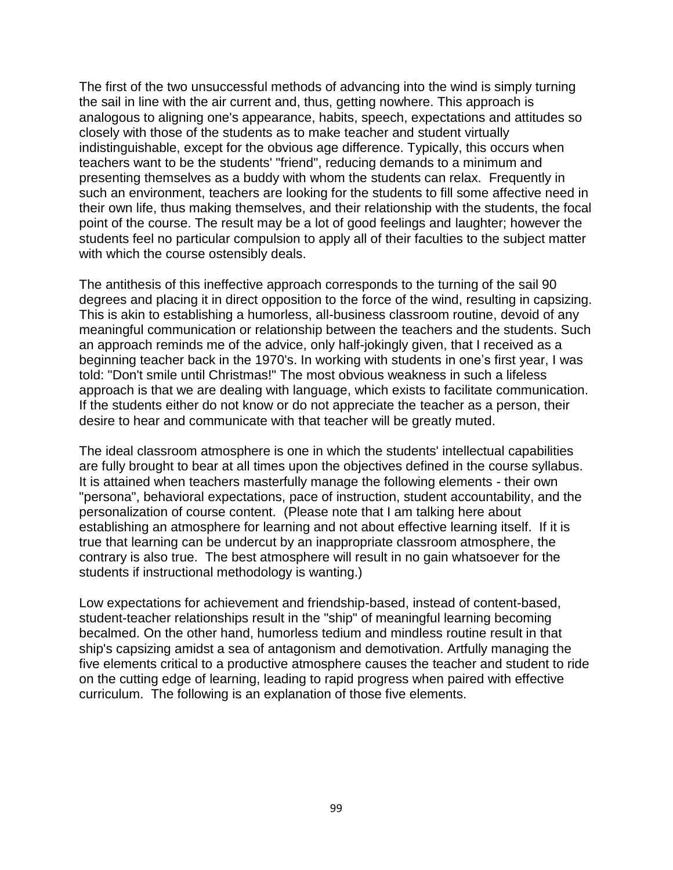The first of the two unsuccessful methods of advancing into the wind is simply turning the sail in line with the air current and, thus, getting nowhere. This approach is analogous to aligning one's appearance, habits, speech, expectations and attitudes so closely with those of the students as to make teacher and student virtually indistinguishable, except for the obvious age difference. Typically, this occurs when teachers want to be the students' "friend", reducing demands to a minimum and presenting themselves as a buddy with whom the students can relax. Frequently in such an environment, teachers are looking for the students to fill some affective need in their own life, thus making themselves, and their relationship with the students, the focal point of the course. The result may be a lot of good feelings and laughter; however the students feel no particular compulsion to apply all of their faculties to the subject matter with which the course ostensibly deals.

The antithesis of this ineffective approach corresponds to the turning of the sail 90 degrees and placing it in direct opposition to the force of the wind, resulting in capsizing. This is akin to establishing a humorless, all-business classroom routine, devoid of any meaningful communication or relationship between the teachers and the students. Such an approach reminds me of the advice, only half-jokingly given, that I received as a beginning teacher back in the 1970's. In working with students in one's first year, I was told: "Don't smile until Christmas!" The most obvious weakness in such a lifeless approach is that we are dealing with language, which exists to facilitate communication. If the students either do not know or do not appreciate the teacher as a person, their desire to hear and communicate with that teacher will be greatly muted.

The ideal classroom atmosphere is one in which the students' intellectual capabilities are fully brought to bear at all times upon the objectives defined in the course syllabus. It is attained when teachers masterfully manage the following elements - their own "persona", behavioral expectations, pace of instruction, student accountability, and the personalization of course content. (Please note that I am talking here about establishing an atmosphere for learning and not about effective learning itself. If it is true that learning can be undercut by an inappropriate classroom atmosphere, the contrary is also true. The best atmosphere will result in no gain whatsoever for the students if instructional methodology is wanting.)

Low expectations for achievement and friendship-based, instead of content-based, student-teacher relationships result in the "ship" of meaningful learning becoming becalmed. On the other hand, humorless tedium and mindless routine result in that ship's capsizing amidst a sea of antagonism and demotivation. Artfully managing the five elements critical to a productive atmosphere causes the teacher and student to ride on the cutting edge of learning, leading to rapid progress when paired with effective curriculum. The following is an explanation of those five elements.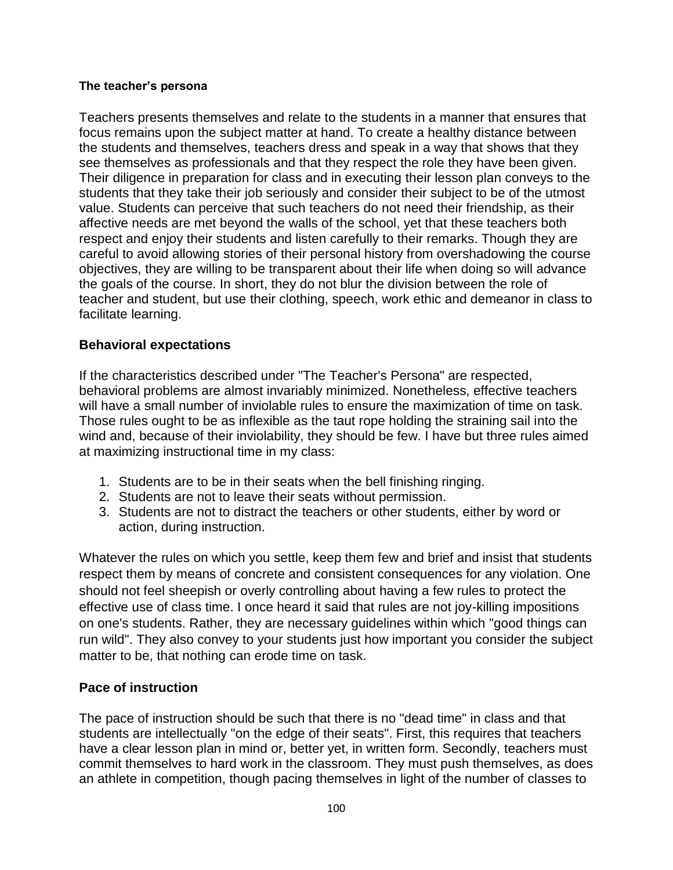### **The teacher's persona**

Teachers presents themselves and relate to the students in a manner that ensures that focus remains upon the subject matter at hand. To create a healthy distance between the students and themselves, teachers dress and speak in a way that shows that they see themselves as professionals and that they respect the role they have been given. Their diligence in preparation for class and in executing their lesson plan conveys to the students that they take their job seriously and consider their subject to be of the utmost value. Students can perceive that such teachers do not need their friendship, as their affective needs are met beyond the walls of the school, yet that these teachers both respect and enjoy their students and listen carefully to their remarks. Though they are careful to avoid allowing stories of their personal history from overshadowing the course objectives, they are willing to be transparent about their life when doing so will advance the goals of the course. In short, they do not blur the division between the role of teacher and student, but use their clothing, speech, work ethic and demeanor in class to facilitate learning.

### **Behavioral expectations**

If the characteristics described under "The Teacher's Persona" are respected, behavioral problems are almost invariably minimized. Nonetheless, effective teachers will have a small number of inviolable rules to ensure the maximization of time on task. Those rules ought to be as inflexible as the taut rope holding the straining sail into the wind and, because of their inviolability, they should be few. I have but three rules aimed at maximizing instructional time in my class:

- 1. Students are to be in their seats when the bell finishing ringing.
- 2. Students are not to leave their seats without permission.
- 3. Students are not to distract the teachers or other students, either by word or action, during instruction.

Whatever the rules on which you settle, keep them few and brief and insist that students respect them by means of concrete and consistent consequences for any violation. One should not feel sheepish or overly controlling about having a few rules to protect the effective use of class time. I once heard it said that rules are not joy-killing impositions on one's students. Rather, they are necessary guidelines within which "good things can run wild". They also convey to your students just how important you consider the subject matter to be, that nothing can erode time on task.

## **Pace of instruction**

The pace of instruction should be such that there is no "dead time" in class and that students are intellectually "on the edge of their seats". First, this requires that teachers have a clear lesson plan in mind or, better yet, in written form. Secondly, teachers must commit themselves to hard work in the classroom. They must push themselves, as does an athlete in competition, though pacing themselves in light of the number of classes to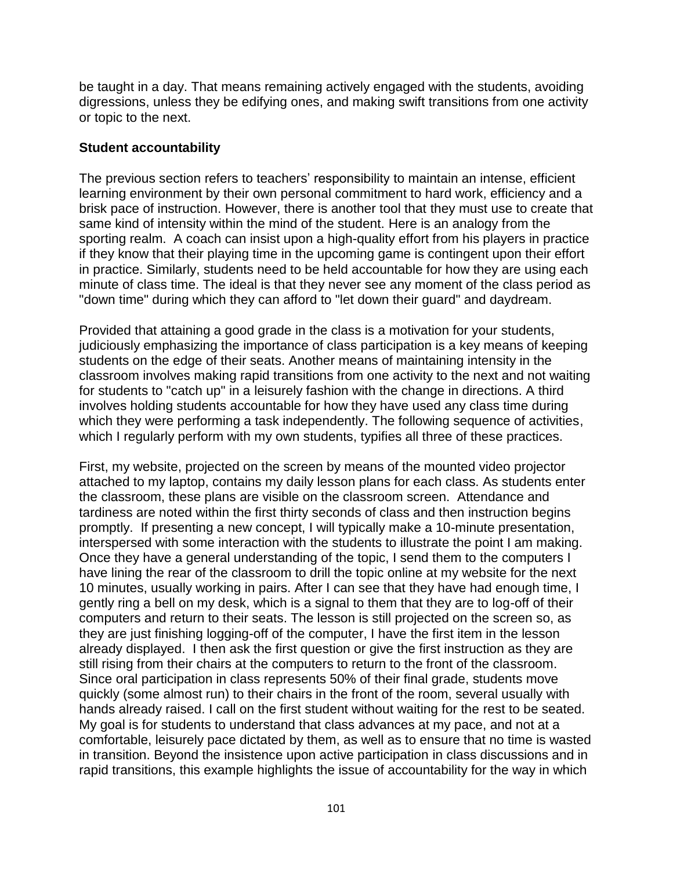be taught in a day. That means remaining actively engaged with the students, avoiding digressions, unless they be edifying ones, and making swift transitions from one activity or topic to the next.

### **Student accountability**

The previous section refers to teachers' responsibility to maintain an intense, efficient learning environment by their own personal commitment to hard work, efficiency and a brisk pace of instruction. However, there is another tool that they must use to create that same kind of intensity within the mind of the student. Here is an analogy from the sporting realm. A coach can insist upon a high-quality effort from his players in practice if they know that their playing time in the upcoming game is contingent upon their effort in practice. Similarly, students need to be held accountable for how they are using each minute of class time. The ideal is that they never see any moment of the class period as "down time" during which they can afford to "let down their guard" and daydream.

Provided that attaining a good grade in the class is a motivation for your students, judiciously emphasizing the importance of class participation is a key means of keeping students on the edge of their seats. Another means of maintaining intensity in the classroom involves making rapid transitions from one activity to the next and not waiting for students to "catch up" in a leisurely fashion with the change in directions. A third involves holding students accountable for how they have used any class time during which they were performing a task independently. The following sequence of activities, which I regularly perform with my own students, typifies all three of these practices.

First, my website, projected on the screen by means of the mounted video projector attached to my laptop, contains my daily lesson plans for each class. As students enter the classroom, these plans are visible on the classroom screen. Attendance and tardiness are noted within the first thirty seconds of class and then instruction begins promptly. If presenting a new concept, I will typically make a 10-minute presentation, interspersed with some interaction with the students to illustrate the point I am making. Once they have a general understanding of the topic, I send them to the computers I have lining the rear of the classroom to drill the topic online at my website for the next 10 minutes, usually working in pairs. After I can see that they have had enough time, I gently ring a bell on my desk, which is a signal to them that they are to log-off of their computers and return to their seats. The lesson is still projected on the screen so, as they are just finishing logging-off of the computer, I have the first item in the lesson already displayed. I then ask the first question or give the first instruction as they are still rising from their chairs at the computers to return to the front of the classroom. Since oral participation in class represents 50% of their final grade, students move quickly (some almost run) to their chairs in the front of the room, several usually with hands already raised. I call on the first student without waiting for the rest to be seated. My goal is for students to understand that class advances at my pace, and not at a comfortable, leisurely pace dictated by them, as well as to ensure that no time is wasted in transition. Beyond the insistence upon active participation in class discussions and in rapid transitions, this example highlights the issue of accountability for the way in which